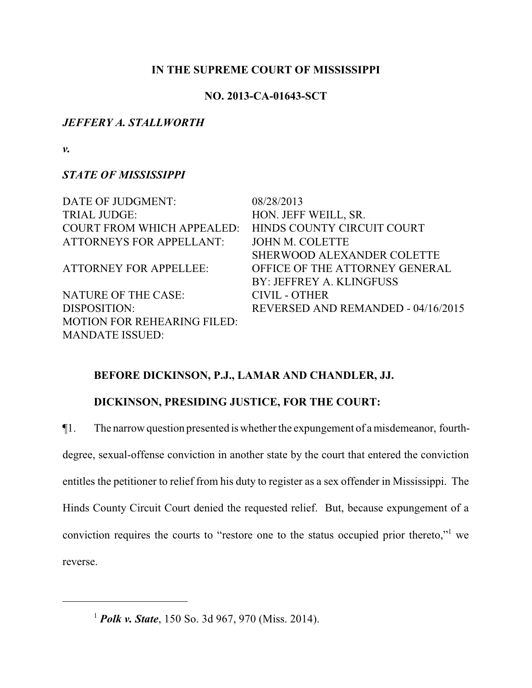### **IN THE SUPREME COURT OF MISSISSIPPI**

## **NO. 2013-CA-01643-SCT**

## *JEFFERY A. STALLWORTH*

*v.*

# *STATE OF MISSISSIPPI*

MANDATE ISSUED:

DATE OF JUDGMENT: 08/28/2013 TRIAL JUDGE: HON. JEFF WEILL, SR. COURT FROM WHICH APPEALED: HINDS COUNTY CIRCUIT COURT ATTORNEYS FOR APPELLANT: JOHN M. COLETTE SHERWOOD ALEXANDER COLETTE ATTORNEY FOR APPELLEE: OFFICE OF THE ATTORNEY GENERAL BY: JEFFREY A. KLINGFUSS NATURE OF THE CASE: CIVIL - OTHER DISPOSITION: REVERSED AND REMANDED - 04/16/2015 MOTION FOR REHEARING FILED:

# **BEFORE DICKINSON, P.J., LAMAR AND CHANDLER, JJ.**

# **DICKINSON, PRESIDING JUSTICE, FOR THE COURT:**

¶1. The narrow question presented is whether the expungement of a misdemeanor, fourth-

degree, sexual-offense conviction in another state by the court that entered the conviction entitles the petitioner to relief from his duty to register as a sex offender in Mississippi. The Hinds County Circuit Court denied the requested relief. But, because expungement of a conviction requires the courts to "restore one to the status occupied prior thereto,"<sup>1</sup> we reverse.

<sup>1</sup> *Polk v. State*, 150 So. 3d 967, 970 (Miss. 2014).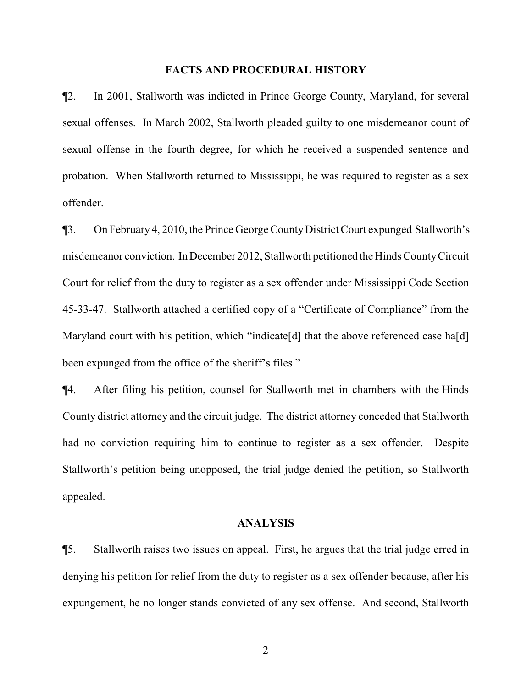#### **FACTS AND PROCEDURAL HISTORY**

¶2. In 2001, Stallworth was indicted in Prince George County, Maryland, for several sexual offenses. In March 2002, Stallworth pleaded guilty to one misdemeanor count of sexual offense in the fourth degree, for which he received a suspended sentence and probation. When Stallworth returned to Mississippi, he was required to register as a sex offender.

¶3. On February 4, 2010, the Prince George CountyDistrict Court expunged Stallworth's misdemeanor conviction. In December 2012, Stallworth petitioned the Hinds County Circuit Court for relief from the duty to register as a sex offender under Mississippi Code Section 45-33-47. Stallworth attached a certified copy of a "Certificate of Compliance" from the Maryland court with his petition, which "indicate [d] that the above referenced case ha<sup>[d]</sup> been expunged from the office of the sheriff's files."

¶4. After filing his petition, counsel for Stallworth met in chambers with the Hinds County district attorney and the circuit judge. The district attorney conceded that Stallworth had no conviction requiring him to continue to register as a sex offender. Despite Stallworth's petition being unopposed, the trial judge denied the petition, so Stallworth appealed.

### **ANALYSIS**

¶5. Stallworth raises two issues on appeal. First, he argues that the trial judge erred in denying his petition for relief from the duty to register as a sex offender because, after his expungement, he no longer stands convicted of any sex offense. And second, Stallworth

2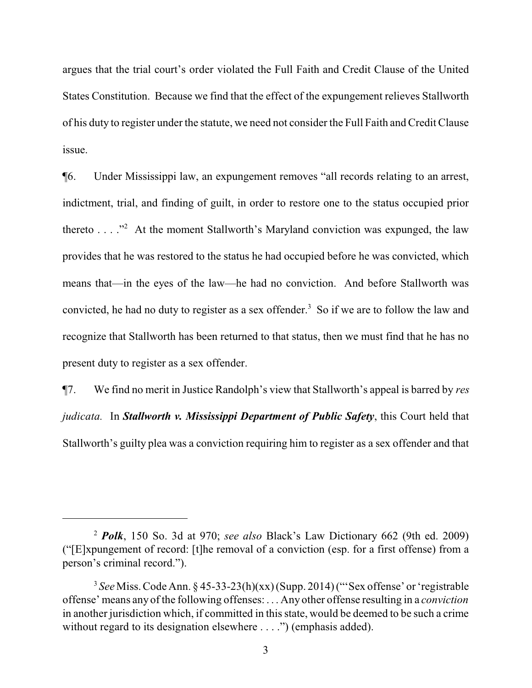argues that the trial court's order violated the Full Faith and Credit Clause of the United States Constitution. Because we find that the effect of the expungement relieves Stallworth of his duty to register under the statute, we need not consider the Full Faith and Credit Clause issue.

¶6. Under Mississippi law, an expungement removes "all records relating to an arrest, indictment, trial, and finding of guilt, in order to restore one to the status occupied prior thereto  $\dots$  <sup>22</sup>. At the moment Stallworth's Maryland conviction was expunged, the law provides that he was restored to the status he had occupied before he was convicted, which means that—in the eyes of the law—he had no conviction. And before Stallworth was convicted, he had no duty to register as a sex offender.<sup>3</sup> So if we are to follow the law and recognize that Stallworth has been returned to that status, then we must find that he has no present duty to register as a sex offender.

¶7. We find no merit in Justice Randolph's view that Stallworth's appeal is barred by *res judicata.* In *Stallworth v. Mississippi Department of Public Safety*, this Court held that Stallworth's guilty plea was a conviction requiring him to register as a sex offender and that

<sup>2</sup> *Polk*, 150 So. 3d at 970; *see also* Black's Law Dictionary 662 (9th ed. 2009) ("[E]xpungement of record: [t]he removal of a conviction (esp. for a first offense) from a person's criminal record.").

<sup>3</sup> *See* Miss. Code Ann. § 45-33-23(h)(xx) (Supp. 2014) ("'Sex offense' or 'registrable offense' means any of the following offenses: . . . Any other offense resulting in a *conviction* in another jurisdiction which, if committed in this state, would be deemed to be such a crime without regard to its designation elsewhere . . . .") (emphasis added).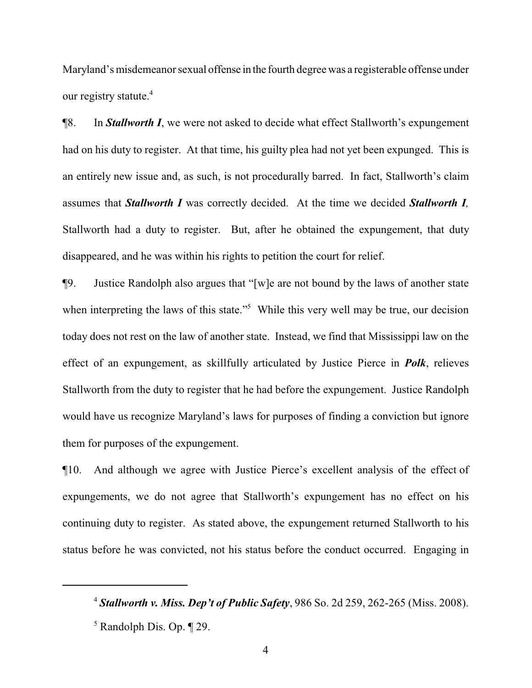Maryland's misdemeanor sexual offense in the fourth degree was a registerable offense under our registry statute.<sup>4</sup>

¶8. In *Stallworth I*, we were not asked to decide what effect Stallworth's expungement had on his duty to register. At that time, his guilty plea had not yet been expunged. This is an entirely new issue and, as such, is not procedurally barred. In fact, Stallworth's claim assumes that *Stallworth I* was correctly decided. At the time we decided *Stallworth I,* Stallworth had a duty to register. But, after he obtained the expungement, that duty disappeared, and he was within his rights to petition the court for relief.

¶9. Justice Randolph also argues that "[w]e are not bound by the laws of another state when interpreting the laws of this state."<sup>5</sup> While this very well may be true, our decision today does not rest on the law of another state. Instead, we find that Mississippi law on the effect of an expungement, as skillfully articulated by Justice Pierce in *Polk*, relieves Stallworth from the duty to register that he had before the expungement. Justice Randolph would have us recognize Maryland's laws for purposes of finding a conviction but ignore them for purposes of the expungement.

¶10. And although we agree with Justice Pierce's excellent analysis of the effect of expungements, we do not agree that Stallworth's expungement has no effect on his continuing duty to register. As stated above, the expungement returned Stallworth to his status before he was convicted, not his status before the conduct occurred. Engaging in

<sup>4</sup> *Stallworth v. Miss. Dep't of Public Safety*, 986 So. 2d 259, 262-265 (Miss. 2008).

<sup>5</sup> Randolph Dis. Op. ¶ 29.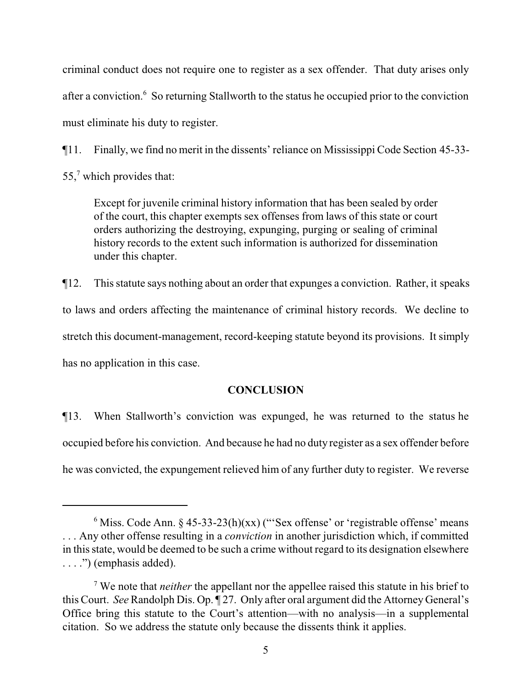criminal conduct does not require one to register as a sex offender. That duty arises only after a conviction.<sup>6</sup> So returning Stallworth to the status he occupied prior to the conviction must eliminate his duty to register.

¶11. Finally, we find no merit in the dissents' reliance on Mississippi Code Section 45-33-

55,<sup>7</sup> which provides that:

Except for juvenile criminal history information that has been sealed by order of the court, this chapter exempts sex offenses from laws of this state or court orders authorizing the destroying, expunging, purging or sealing of criminal history records to the extent such information is authorized for dissemination under this chapter.

¶12. This statute says nothing about an order that expunges a conviction. Rather, it speaks to laws and orders affecting the maintenance of criminal history records. We decline to stretch this document-management, record-keeping statute beyond its provisions. It simply has no application in this case.

## **CONCLUSION**

¶13. When Stallworth's conviction was expunged, he was returned to the status he occupied before his conviction. And because he had no duty register as a sex offender before he was convicted, the expungement relieved him of any further duty to register. We reverse

 $6$  Miss. Code Ann. § 45-33-23(h)(xx) ("'Sex offense' or 'registrable offense' means . . . Any other offense resulting in a *conviction* in another jurisdiction which, if committed in this state, would be deemed to be such a crime without regard to its designation elsewhere . . . .") (emphasis added).

<sup>7</sup> We note that *neither* the appellant nor the appellee raised this statute in his brief to this Court. *See* Randolph Dis. Op. ¶ 27. Only after oral argument did the Attorney General's Office bring this statute to the Court's attention—with no analysis—in a supplemental citation. So we address the statute only because the dissents think it applies.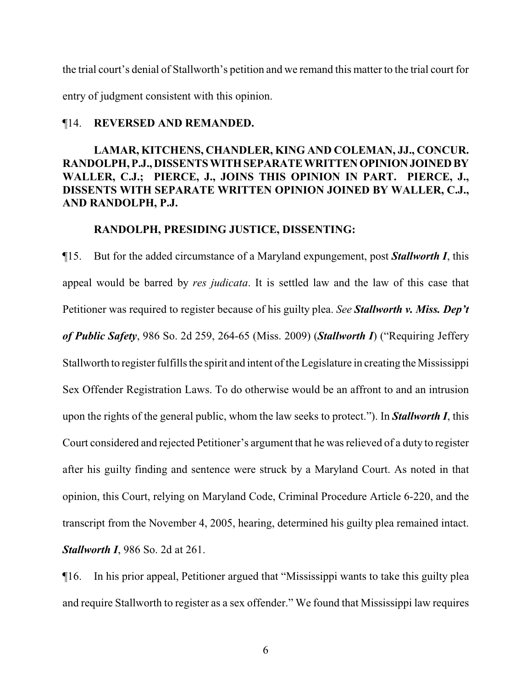the trial court's denial of Stallworth's petition and we remand this matter to the trial court for entry of judgment consistent with this opinion.

### ¶14. **REVERSED AND REMANDED.**

# **LAMAR, KITCHENS, CHANDLER, KING AND COLEMAN, JJ., CONCUR. RANDOLPH, P.J., DISSENTS WITHSEPARATEWRITTENOPINIONJOINEDBY WALLER, C.J.; PIERCE, J., JOINS THIS OPINION IN PART. PIERCE, J., DISSENTS WITH SEPARATE WRITTEN OPINION JOINED BY WALLER, C.J., AND RANDOLPH, P.J.**

### **RANDOLPH, PRESIDING JUSTICE, DISSENTING:**

¶15. But for the added circumstance of a Maryland expungement, post *Stallworth I*, this appeal would be barred by *res judicata*. It is settled law and the law of this case that Petitioner was required to register because of his guilty plea. *See Stallworth v. Miss. Dep't of Public Safety*, 986 So. 2d 259, 264-65 (Miss. 2009) (*Stallworth I*) ("Requiring Jeffery Stallworth to register fulfills the spirit and intent of the Legislature in creating the Mississippi Sex Offender Registration Laws. To do otherwise would be an affront to and an intrusion upon the rights of the general public, whom the law seeks to protect."). In *Stallworth I*, this Court considered and rejected Petitioner's argument that he was relieved of a duty to register after his guilty finding and sentence were struck by a Maryland Court. As noted in that opinion, this Court, relying on Maryland Code, Criminal Procedure Article 6-220, and the transcript from the November 4, 2005, hearing, determined his guilty plea remained intact. *Stallworth I*, 986 So. 2d at 261.

¶16. In his prior appeal, Petitioner argued that "Mississippi wants to take this guilty plea and require Stallworth to register as a sex offender." We found that Mississippi law requires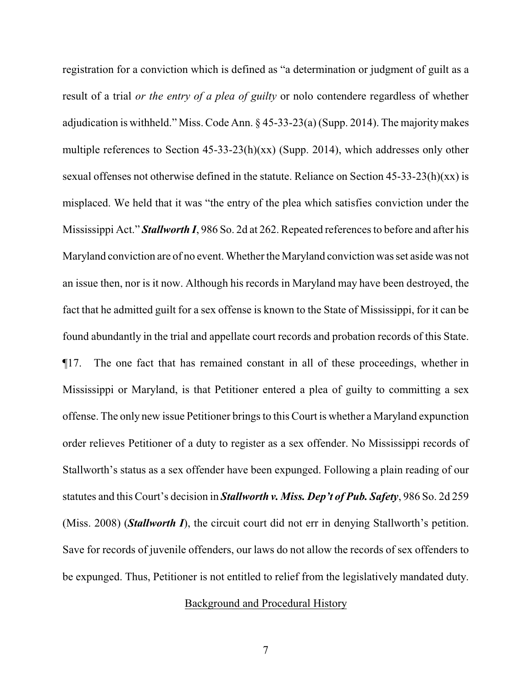registration for a conviction which is defined as "a determination or judgment of guilt as a result of a trial *or the entry of a plea of guilty* or nolo contendere regardless of whether adjudication is withheld." Miss. Code Ann. § 45-33-23(a) (Supp. 2014). The majoritymakes multiple references to Section 45-33-23(h)(xx) (Supp. 2014), which addresses only other sexual offenses not otherwise defined in the statute. Reliance on Section 45-33-23(h)(xx) is misplaced. We held that it was "the entry of the plea which satisfies conviction under the Mississippi Act." *Stallworth I*, 986 So. 2d at 262. Repeated references to before and after his Maryland conviction are of no event. Whether the Maryland conviction was set aside was not an issue then, nor is it now. Although his records in Maryland may have been destroyed, the fact that he admitted guilt for a sex offense is known to the State of Mississippi, for it can be found abundantly in the trial and appellate court records and probation records of this State. ¶17. The one fact that has remained constant in all of these proceedings, whether in Mississippi or Maryland, is that Petitioner entered a plea of guilty to committing a sex offense. The only new issue Petitioner brings to this Court is whether a Maryland expunction order relieves Petitioner of a duty to register as a sex offender. No Mississippi records of Stallworth's status as a sex offender have been expunged. Following a plain reading of our statutes and this Court's decision in *Stallworth v. Miss. Dep't of Pub. Safety*, 986 So. 2d 259 (Miss. 2008) (*Stallworth I*), the circuit court did not err in denying Stallworth's petition. Save for records of juvenile offenders, our laws do not allow the records of sex offenders to be expunged. Thus, Petitioner is not entitled to relief from the legislatively mandated duty.

### Background and Procedural History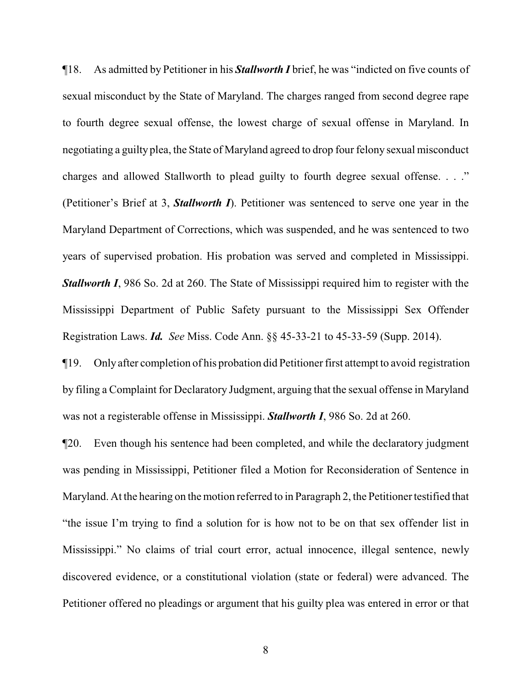¶18. As admitted by Petitioner in his *Stallworth I* brief, he was "indicted on five counts of sexual misconduct by the State of Maryland. The charges ranged from second degree rape to fourth degree sexual offense, the lowest charge of sexual offense in Maryland. In negotiating a guilty plea, the State of Maryland agreed to drop four felony sexual misconduct charges and allowed Stallworth to plead guilty to fourth degree sexual offense. . . ." (Petitioner's Brief at 3, *Stallworth I*). Petitioner was sentenced to serve one year in the Maryland Department of Corrections, which was suspended, and he was sentenced to two years of supervised probation. His probation was served and completed in Mississippi. *Stallworth I*, 986 So. 2d at 260. The State of Mississippi required him to register with the Mississippi Department of Public Safety pursuant to the Mississippi Sex Offender Registration Laws. *Id. See* Miss. Code Ann. §§ 45-33-21 to 45-33-59 (Supp. 2014).

¶19. Only after completion of his probation did Petitioner first attempt to avoid registration by filing a Complaint for Declaratory Judgment, arguing that the sexual offense in Maryland was not a registerable offense in Mississippi. *Stallworth I*, 986 So. 2d at 260.

¶20. Even though his sentence had been completed, and while the declaratory judgment was pending in Mississippi, Petitioner filed a Motion for Reconsideration of Sentence in Maryland. At the hearing on the motion referred to in Paragraph 2, the Petitioner testified that "the issue I'm trying to find a solution for is how not to be on that sex offender list in Mississippi." No claims of trial court error, actual innocence, illegal sentence, newly discovered evidence, or a constitutional violation (state or federal) were advanced. The Petitioner offered no pleadings or argument that his guilty plea was entered in error or that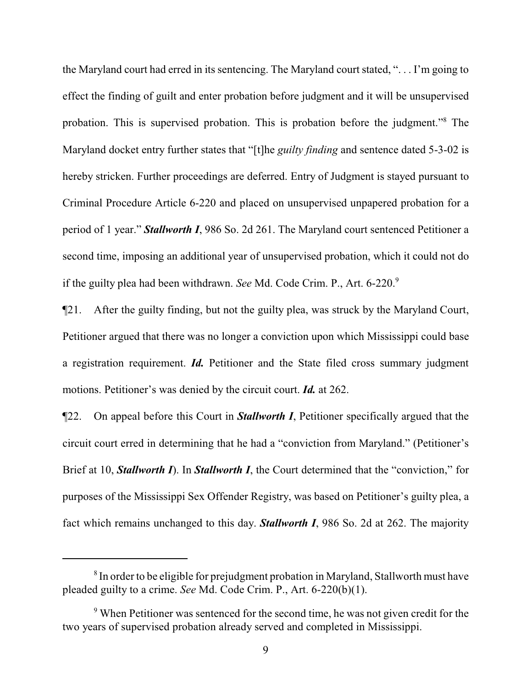the Maryland court had erred in its sentencing. The Maryland court stated, ". . . I'm going to effect the finding of guilt and enter probation before judgment and it will be unsupervised probation. This is supervised probation. This is probation before the judgment."<sup>8</sup> The Maryland docket entry further states that "[t]he *guilty finding* and sentence dated 5-3-02 is hereby stricken. Further proceedings are deferred. Entry of Judgment is stayed pursuant to Criminal Procedure Article 6-220 and placed on unsupervised unpapered probation for a period of 1 year." *Stallworth I*, 986 So. 2d 261. The Maryland court sentenced Petitioner a second time, imposing an additional year of unsupervised probation, which it could not do if the guilty plea had been withdrawn. *See* Md. Code Crim. P., Art. 6-220.<sup>9</sup>

¶21. After the guilty finding, but not the guilty plea, was struck by the Maryland Court, Petitioner argued that there was no longer a conviction upon which Mississippi could base a registration requirement. *Id.* Petitioner and the State filed cross summary judgment motions. Petitioner's was denied by the circuit court. *Id.* at 262.

¶22. On appeal before this Court in *Stallworth I*, Petitioner specifically argued that the circuit court erred in determining that he had a "conviction from Maryland." (Petitioner's Brief at 10, *Stallworth I*). In *Stallworth I*, the Court determined that the "conviction," for purposes of the Mississippi Sex Offender Registry, was based on Petitioner's guilty plea, a fact which remains unchanged to this day. *Stallworth I*, 986 So. 2d at 262. The majority

 $8$  In order to be eligible for prejudgment probation in Maryland, Stallworth must have pleaded guilty to a crime. *See* Md. Code Crim. P., Art. 6-220(b)(1).

<sup>&</sup>lt;sup>9</sup> When Petitioner was sentenced for the second time, he was not given credit for the two years of supervised probation already served and completed in Mississippi.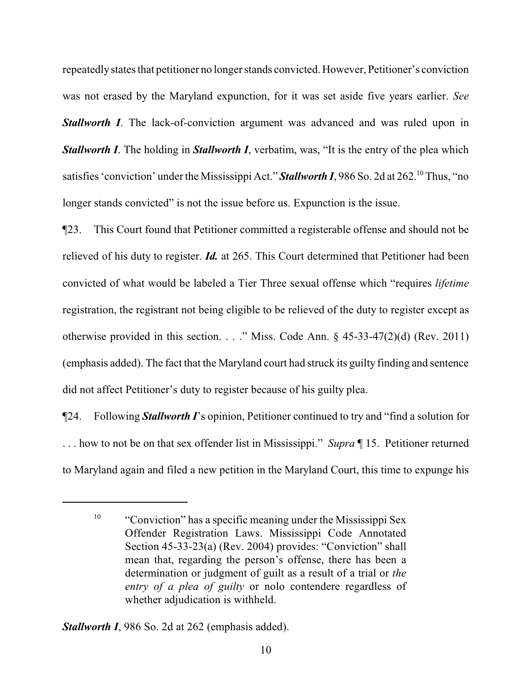repeatedlystates that petitioner no longer stands convicted. However, Petitioner's conviction was not erased by the Maryland expunction, for it was set aside five years earlier. *See* **Stallworth I**. The lack-of-conviction argument was advanced and was ruled upon in *Stallworth I*. The holding in *Stallworth I*, verbatim, was, "It is the entry of the plea which satisfies 'conviction' under the Mississippi Act." **Stallworth I**, 986 So. 2d at 262.<sup>10</sup> Thus, "no longer stands convicted" is not the issue before us. Expunction is the issue.

¶23. This Court found that Petitioner committed a registerable offense and should not be relieved of his duty to register. *Id.* at 265. This Court determined that Petitioner had been convicted of what would be labeled a Tier Three sexual offense which "requires *lifetime* registration, the registrant not being eligible to be relieved of the duty to register except as otherwise provided in this section. . . ." Miss. Code Ann.  $\S$  45-33-47(2)(d) (Rev. 2011) (emphasis added). The fact that the Maryland court had struck its guilty finding and sentence did not affect Petitioner's duty to register because of his guilty plea.

¶24. Following *Stallworth I*'s opinion, Petitioner continued to try and "find a solution for . . . how to not be on that sex offender list in Mississippi." *Supra* ¶ 15. Petitioner returned to Maryland again and filed a new petition in the Maryland Court, this time to expunge his

<sup>&</sup>lt;sup>10</sup> "Conviction" has a specific meaning under the Mississippi Sex Offender Registration Laws. Mississippi Code Annotated Section 45-33-23(a) (Rev. 2004) provides: "Conviction" shall mean that, regarding the person's offense, there has been a determination or judgment of guilt as a result of a trial or *the entry of a plea of guilty* or nolo contendere regardless of whether adjudication is withheld.

*Stallworth I*, 986 So. 2d at 262 (emphasis added).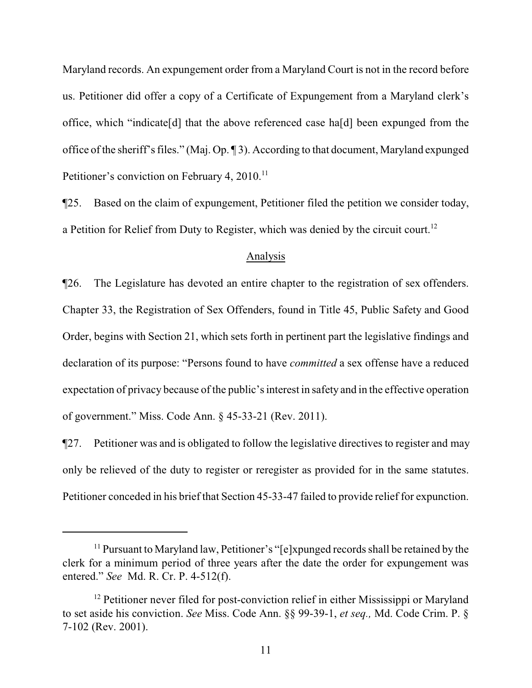Maryland records. An expungement order from a Maryland Court is not in the record before us. Petitioner did offer a copy of a Certificate of Expungement from a Maryland clerk's office, which "indicate[d] that the above referenced case ha[d] been expunged from the office of the sheriff's files." (Maj. Op. ¶ 3). According to that document, Maryland expunged Petitioner's conviction on February 4, 2010.<sup>11</sup>

¶25. Based on the claim of expungement, Petitioner filed the petition we consider today, a Petition for Relief from Duty to Register, which was denied by the circuit court.<sup>12</sup>

#### Analysis

¶26. The Legislature has devoted an entire chapter to the registration of sex offenders. Chapter 33, the Registration of Sex Offenders, found in Title 45, Public Safety and Good Order, begins with Section 21, which sets forth in pertinent part the legislative findings and declaration of its purpose: "Persons found to have *committed* a sex offense have a reduced expectation of privacy because of the public's interest in safety and in the effective operation of government." Miss. Code Ann. § 45-33-21 (Rev. 2011).

¶27. Petitioner was and is obligated to follow the legislative directives to register and may only be relieved of the duty to register or reregister as provided for in the same statutes. Petitioner conceded in his brief that Section 45-33-47 failed to provide relief for expunction.

<sup>&</sup>lt;sup>11</sup> Pursuant to Maryland law, Petitioner's "[e]xpunged records shall be retained by the clerk for a minimum period of three years after the date the order for expungement was entered." *See* Md. R. Cr. P. 4-512(f).

<sup>&</sup>lt;sup>12</sup> Petitioner never filed for post-conviction relief in either Mississippi or Maryland to set aside his conviction. *See* Miss. Code Ann. §§ 99-39-1, *et seq.,* Md. Code Crim. P. § 7-102 (Rev. 2001).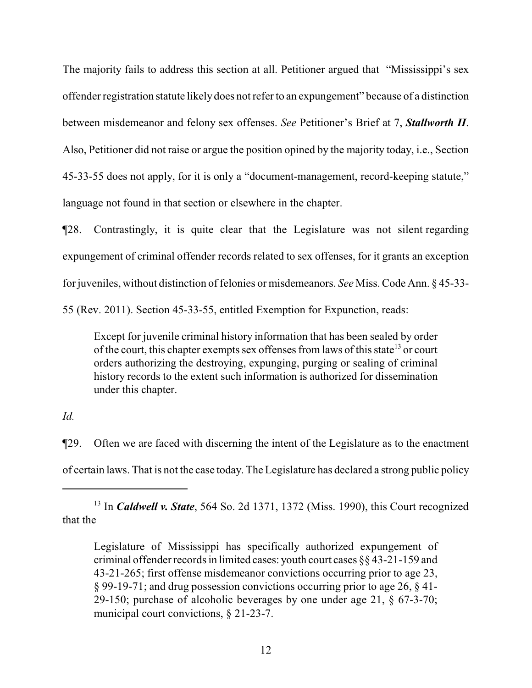The majority fails to address this section at all. Petitioner argued that "Mississippi's sex offender registration statute likely does not refer to an expungement" because of a distinction between misdemeanor and felony sex offenses. *See* Petitioner's Brief at 7, *Stallworth II*. Also, Petitioner did not raise or argue the position opined by the majority today, i.e., Section 45-33-55 does not apply, for it is only a "document-management, record-keeping statute," language not found in that section or elsewhere in the chapter.

¶28. Contrastingly, it is quite clear that the Legislature was not silent regarding expungement of criminal offender records related to sex offenses, for it grants an exception for juveniles, without distinction of felonies or misdemeanors. *See* Miss. Code Ann. § 45-33- 55 (Rev. 2011). Section 45-33-55, entitled Exemption for Expunction, reads:

Except for juvenile criminal history information that has been sealed by order of the court, this chapter exempts sex offenses from laws of this state<sup>13</sup> or court orders authorizing the destroying, expunging, purging or sealing of criminal history records to the extent such information is authorized for dissemination under this chapter.

*Id.*

¶29. Often we are faced with discerning the intent of the Legislature as to the enactment of certain laws. That is not the case today. The Legislature has declared a strong public policy

<sup>13</sup> In *Caldwell v. State*, 564 So. 2d 1371, 1372 (Miss. 1990), this Court recognized that the

Legislature of Mississippi has specifically authorized expungement of criminal offender records in limited cases: youth court cases §§ 43-21-159 and 43-21-265; first offense misdemeanor convictions occurring prior to age 23, § 99-19-71; and drug possession convictions occurring prior to age 26, § 41- 29-150; purchase of alcoholic beverages by one under age 21, § 67-3-70; municipal court convictions, § 21-23-7.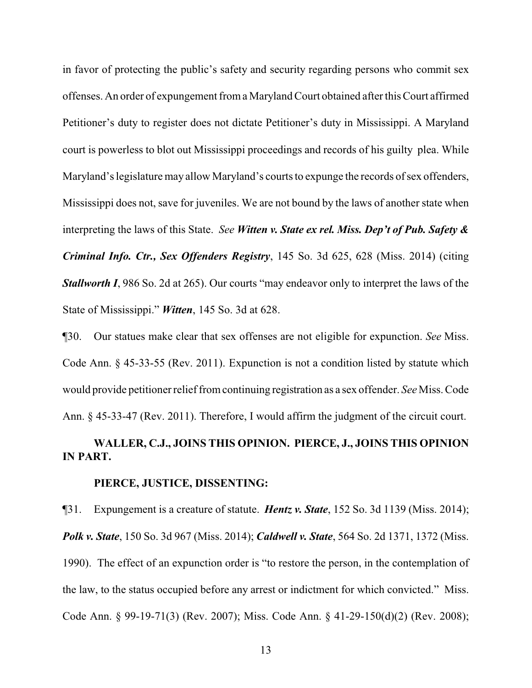in favor of protecting the public's safety and security regarding persons who commit sex offenses. An order of expungement froma Maryland Court obtained after this Court affirmed Petitioner's duty to register does not dictate Petitioner's duty in Mississippi. A Maryland court is powerless to blot out Mississippi proceedings and records of his guilty plea. While Maryland's legislature may allow Maryland's courts to expunge the records of sex offenders, Mississippi does not, save for juveniles. We are not bound by the laws of another state when interpreting the laws of this State. *See Witten v. State ex rel. Miss. Dep't of Pub. Safety & Criminal Info. Ctr., Sex Offenders Registry*, 145 So. 3d 625, 628 (Miss. 2014) (citing *Stallworth I*, 986 So. 2d at 265). Our courts "may endeavor only to interpret the laws of the State of Mississippi." *Witten*, 145 So. 3d at 628.

¶30. Our statues make clear that sex offenses are not eligible for expunction. *See* Miss. Code Ann. § 45-33-55 (Rev. 2011). Expunction is not a condition listed by statute which would provide petitioner relieffromcontinuing registration as a sex offender. *See* Miss. Code Ann. § 45-33-47 (Rev. 2011). Therefore, I would affirm the judgment of the circuit court.

# **WALLER, C.J., JOINS THIS OPINION. PIERCE, J., JOINS THIS OPINION IN PART.**

### **PIERCE, JUSTICE, DISSENTING:**

¶31. Expungement is a creature of statute. *Hentz v. State*, 152 So. 3d 1139 (Miss. 2014); *Polk v. State*, 150 So. 3d 967 (Miss. 2014); *Caldwell v. State*, 564 So. 2d 1371, 1372 (Miss. 1990). The effect of an expunction order is "to restore the person, in the contemplation of the law, to the status occupied before any arrest or indictment for which convicted." Miss. Code Ann. § 99-19-71(3) (Rev. 2007); Miss. Code Ann. § 41-29-150(d)(2) (Rev. 2008);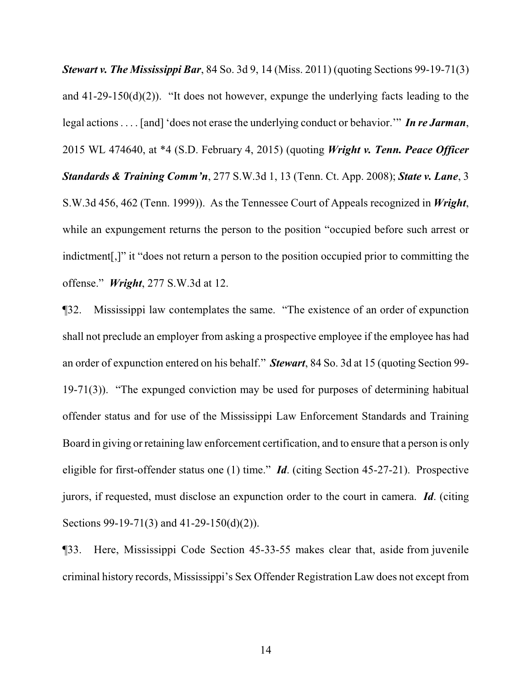*Stewart v. The Mississippi Bar*, 84 So. 3d 9, 14 (Miss. 2011) (quoting Sections 99-19-71(3) and 41-29-150(d)(2)). "It does not however, expunge the underlying facts leading to the legal actions . . . . [and] 'does not erase the underlying conduct or behavior.'" *In re Jarman*, 2015 WL 474640, at \*4 (S.D. February 4, 2015) (quoting *Wright v. Tenn. Peace Officer Standards & Training Comm'n*, 277 S.W.3d 1, 13 (Tenn. Ct. App. 2008); *State v. Lane*, 3 S.W.3d 456, 462 (Tenn. 1999)). As the Tennessee Court of Appeals recognized in *Wright*, while an expungement returns the person to the position "occupied before such arrest or indictment[,]" it "does not return a person to the position occupied prior to committing the offense." *Wright*, 277 S.W.3d at 12.

¶32. Mississippi law contemplates the same. "The existence of an order of expunction shall not preclude an employer from asking a prospective employee if the employee has had an order of expunction entered on his behalf." *Stewart*, 84 So. 3d at 15 (quoting Section 99- 19-71(3)). "The expunged conviction may be used for purposes of determining habitual offender status and for use of the Mississippi Law Enforcement Standards and Training Board in giving or retaining law enforcement certification, and to ensure that a person is only eligible for first-offender status one (1) time." *Id*. (citing Section 45-27-21). Prospective jurors, if requested, must disclose an expunction order to the court in camera. *Id*. (citing Sections 99-19-71(3) and 41-29-150(d)(2)).

¶33. Here, Mississippi Code Section 45-33-55 makes clear that, aside from juvenile criminal history records, Mississippi's Sex Offender Registration Law does not except from